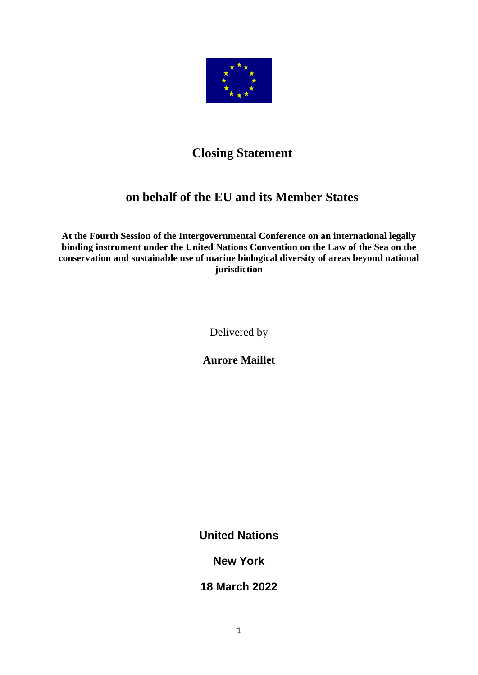

# **Closing Statement**

## **on behalf of the EU and its Member States**

**At the Fourth Session of the Intergovernmental Conference on an international legally binding instrument under the United Nations Convention on the Law of the Sea on the conservation and sustainable use of marine biological diversity of areas beyond national jurisdiction**

Delivered by

**Aurore Maillet**

**United Nations**

**New York**

**18 March 2022**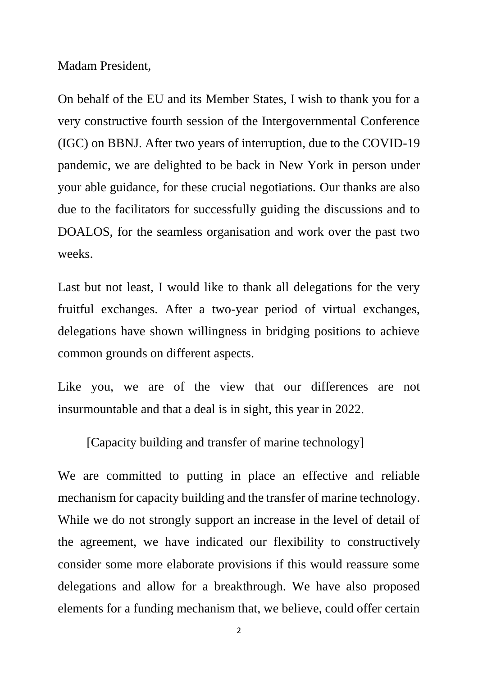Madam President,

On behalf of the EU and its Member States, I wish to thank you for a very constructive fourth session of the Intergovernmental Conference (IGC) on BBNJ. After two years of interruption, due to the COVID-19 pandemic, we are delighted to be back in New York in person under your able guidance, for these crucial negotiations. Our thanks are also due to the facilitators for successfully guiding the discussions and to DOALOS, for the seamless organisation and work over the past two weeks.

Last but not least, I would like to thank all delegations for the very fruitful exchanges. After a two-year period of virtual exchanges, delegations have shown willingness in bridging positions to achieve common grounds on different aspects.

Like you, we are of the view that our differences are not insurmountable and that a deal is in sight, this year in 2022.

[Capacity building and transfer of marine technology]

We are committed to putting in place an effective and reliable mechanism for capacity building and the transfer of marine technology. While we do not strongly support an increase in the level of detail of the agreement, we have indicated our flexibility to constructively consider some more elaborate provisions if this would reassure some delegations and allow for a breakthrough. We have also proposed elements for a funding mechanism that, we believe, could offer certain

2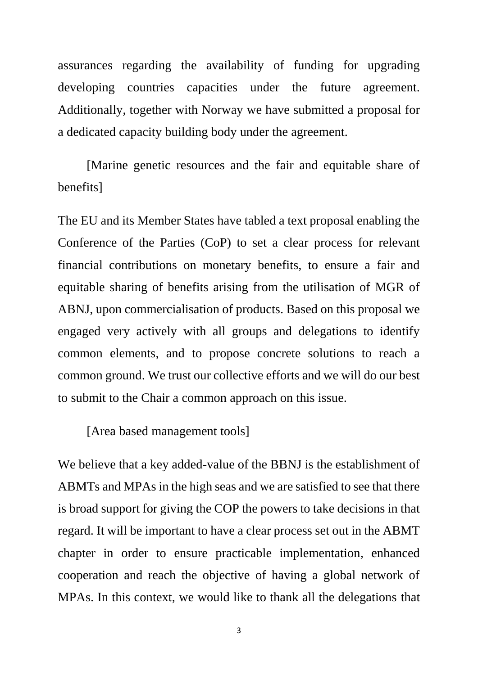assurances regarding the availability of funding for upgrading developing countries capacities under the future agreement. Additionally, together with Norway we have submitted a proposal for a dedicated capacity building body under the agreement.

[Marine genetic resources and the fair and equitable share of benefits]

The EU and its Member States have tabled a text proposal enabling the Conference of the Parties (CoP) to set a clear process for relevant financial contributions on monetary benefits, to ensure a fair and equitable sharing of benefits arising from the utilisation of MGR of ABNJ, upon commercialisation of products. Based on this proposal we engaged very actively with all groups and delegations to identify common elements, and to propose concrete solutions to reach a common ground. We trust our collective efforts and we will do our best to submit to the Chair a common approach on this issue.

[Area based management tools]

We believe that a key added-value of the BBNJ is the establishment of ABMTs and MPAs in the high seas and we are satisfied to see that there is broad support for giving the COP the powers to take decisions in that regard. It will be important to have a clear process set out in the ABMT chapter in order to ensure practicable implementation, enhanced cooperation and reach the objective of having a global network of MPAs. In this context, we would like to thank all the delegations that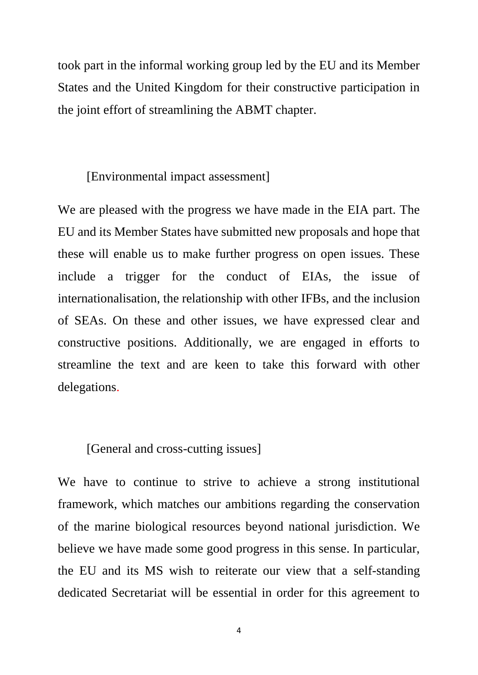took part in the informal working group led by the EU and its Member States and the United Kingdom for their constructive participation in the joint effort of streamlining the ABMT chapter.

#### [Environmental impact assessment]

We are pleased with the progress we have made in the EIA part. The EU and its Member States have submitted new proposals and hope that these will enable us to make further progress on open issues. These include a trigger for the conduct of EIAs, the issue of internationalisation, the relationship with other IFBs, and the inclusion of SEAs. On these and other issues, we have expressed clear and constructive positions. Additionally, we are engaged in efforts to streamline the text and are keen to take this forward with other delegations.

### [General and cross-cutting issues]

We have to continue to strive to achieve a strong institutional framework, which matches our ambitions regarding the conservation of the marine biological resources beyond national jurisdiction. We believe we have made some good progress in this sense. In particular, the EU and its MS wish to reiterate our view that a self-standing dedicated Secretariat will be essential in order for this agreement to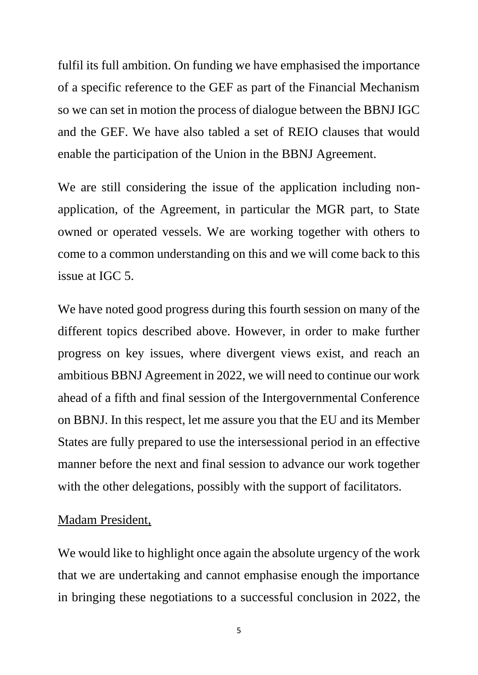fulfil its full ambition. On funding we have emphasised the importance of a specific reference to the GEF as part of the Financial Mechanism so we can set in motion the process of dialogue between the BBNJ IGC and the GEF. We have also tabled a set of REIO clauses that would enable the participation of the Union in the BBNJ Agreement.

We are still considering the issue of the application including nonapplication, of the Agreement, in particular the MGR part, to State owned or operated vessels. We are working together with others to come to a common understanding on this and we will come back to this issue at IGC 5.

We have noted good progress during this fourth session on many of the different topics described above. However, in order to make further progress on key issues, where divergent views exist, and reach an ambitious BBNJ Agreement in 2022, we will need to continue our work ahead of a fifth and final session of the Intergovernmental Conference on BBNJ. In this respect, let me assure you that the EU and its Member States are fully prepared to use the intersessional period in an effective manner before the next and final session to advance our work together with the other delegations, possibly with the support of facilitators.

#### Madam President,

We would like to highlight once again the absolute urgency of the work that we are undertaking and cannot emphasise enough the importance in bringing these negotiations to a successful conclusion in 2022, the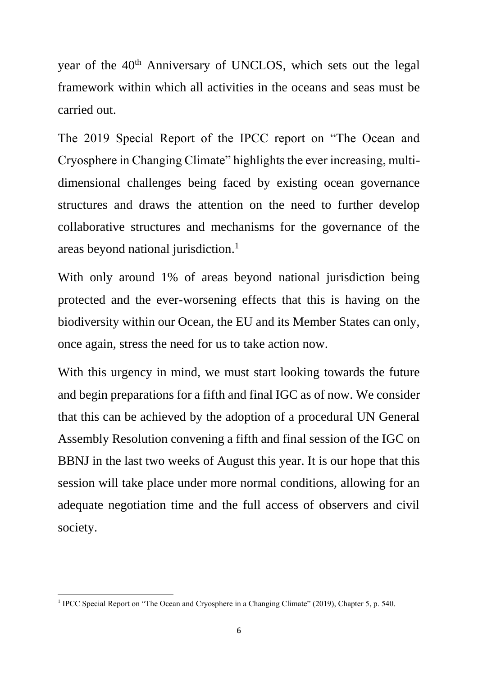year of the 40<sup>th</sup> Anniversary of UNCLOS, which sets out the legal framework within which all activities in the oceans and seas must be carried out.

The 2019 Special Report of the IPCC report on "The Ocean and Cryosphere in Changing Climate" highlights the ever increasing, multidimensional challenges being faced by existing ocean governance structures and draws the attention on the need to further develop collaborative structures and mechanisms for the governance of the areas beyond national jurisdiction.<sup>1</sup>

With only around 1% of areas beyond national jurisdiction being protected and the ever-worsening effects that this is having on the biodiversity within our Ocean, the EU and its Member States can only, once again, stress the need for us to take action now.

With this urgency in mind, we must start looking towards the future and begin preparations for a fifth and final IGC as of now. We consider that this can be achieved by the adoption of a procedural UN General Assembly Resolution convening a fifth and final session of the IGC on BBNJ in the last two weeks of August this year. It is our hope that this session will take place under more normal conditions, allowing for an adequate negotiation time and the full access of observers and civil society.

<sup>&</sup>lt;sup>1</sup> IPCC Special Report on "The Ocean and Cryosphere in a Changing Climate" (2019), Chapter 5, p. 540.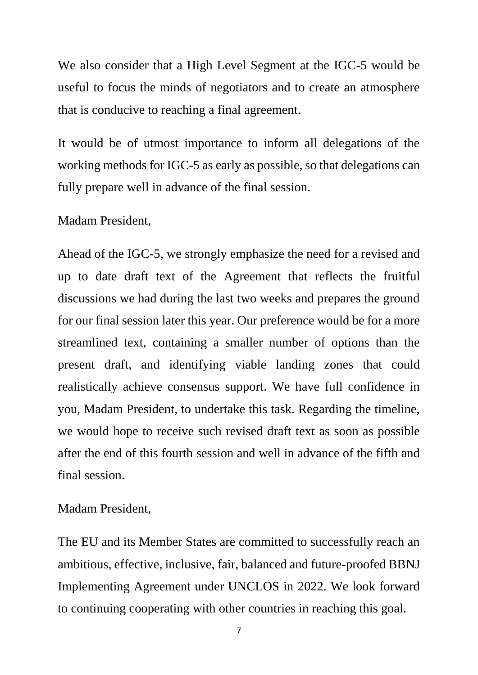We also consider that a High Level Segment at the IGC-5 would be useful to focus the minds of negotiators and to create an atmosphere that is conducive to reaching a final agreement.

It would be of utmost importance to inform all delegations of the working methods for IGC-5 as early as possible, so that delegations can fully prepare well in advance of the final session.

Madam President,

Ahead of the IGC-5, we strongly emphasize the need for a revised and up to date draft text of the Agreement that reflects the fruitful discussions we had during the last two weeks and prepares the ground for our final session later this year. Our preference would be for a more streamlined text, containing a smaller number of options than the present draft, and identifying viable landing zones that could realistically achieve consensus support. We have full confidence in you, Madam President, to undertake this task. Regarding the timeline, we would hope to receive such revised draft text as soon as possible after the end of this fourth session and well in advance of the fifth and final session.

Madam President,

The EU and its Member States are committed to successfully reach an ambitious, effective, inclusive, fair, balanced and future-proofed BBNJ Implementing Agreement under UNCLOS in 2022. We look forward to continuing cooperating with other countries in reaching this goal.